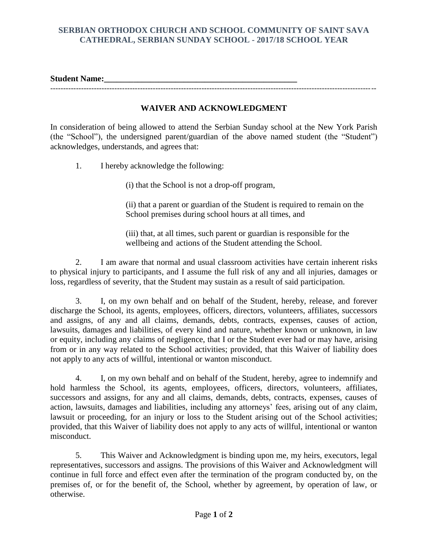## **SERBIAN ORTHODOX CHURCH AND SCHOOL COMMUNITY OF SAINT SAVA CATHEDRAL, SERBIAN SUNDAY SCHOOL - 2017/18 SCHOOL YEAR**

**Student Name:\_\_\_\_\_\_\_\_\_\_\_\_\_\_\_\_\_\_\_\_\_\_\_\_\_\_\_\_\_\_\_\_\_\_\_\_\_\_\_\_\_\_\_\_\_\_** -------------------------------------------------------------------------------------------------------------------------------

## **WAIVER AND ACKNOWLEDGMENT**

In consideration of being allowed to attend the Serbian Sunday school at the New York Parish (the "School"), the undersigned parent/guardian of the above named student (the "Student") acknowledges, understands, and agrees that:

1. I hereby acknowledge the following:

(i) that the School is not a drop-off program,

(ii) that a parent or guardian of the Student is required to remain on the School premises during school hours at all times, and

(iii) that, at all times, such parent or guardian is responsible for the wellbeing and actions of the Student attending the School.

2. I am aware that normal and usual classroom activities have certain inherent risks to physical injury to participants, and I assume the full risk of any and all injuries, damages or loss, regardless of severity, that the Student may sustain as a result of said participation.

3. I, on my own behalf and on behalf of the Student, hereby, release, and forever discharge the School, its agents, employees, officers, directors, volunteers, affiliates, successors and assigns, of any and all claims, demands, debts, contracts, expenses, causes of action, lawsuits, damages and liabilities, of every kind and nature, whether known or unknown, in law or equity, including any claims of negligence, that I or the Student ever had or may have, arising from or in any way related to the School activities; provided, that this Waiver of liability does not apply to any acts of willful, intentional or wanton misconduct.

4. I, on my own behalf and on behalf of the Student, hereby, agree to indemnify and hold harmless the School, its agents, employees, officers, directors, volunteers, affiliates, successors and assigns, for any and all claims, demands, debts, contracts, expenses, causes of action, lawsuits, damages and liabilities, including any attorneys' fees, arising out of any claim, lawsuit or proceeding, for an injury or loss to the Student arising out of the School activities; provided, that this Waiver of liability does not apply to any acts of willful, intentional or wanton misconduct.

5. This Waiver and Acknowledgment is binding upon me, my heirs, executors, legal representatives, successors and assigns. The provisions of this Waiver and Acknowledgment will continue in full force and effect even after the termination of the program conducted by, on the premises of, or for the benefit of, the School, whether by agreement, by operation of law, or otherwise.